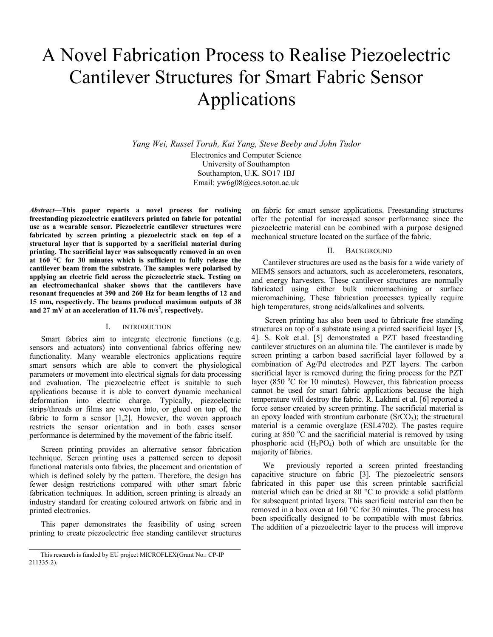# A Novel Fabrication Process to Realise Piezoelectric Cantilever Structures for Smart Fabric Sensor Applications

*Yang Wei, Russel Torah, Kai Yang, Steve Beeby and John Tudor* Electronics and Computer Science University of Southampton Southampton, U.K. SO17 1BJ Email: yw6g08@ecs.soton.ac.uk

*Abstract***—This paper reports a novel process for realising freestanding piezoelectric cantilevers printed on fabric for potential use as a wearable sensor. Piezoelectric cantilever structures were fabricated by screen printing a piezoelectric stack on top of a structural layer that is supported by a sacrificial material during printing. The sacrificial layer was subsequently removed in an oven at 160 °C for 30 minutes which is sufficient to fully release the cantilever beam from the substrate. The samples were polarised by applying an electric field across the piezoelectric stack. Testing on an electromechanical shaker shows that the cantilevers have resonant frequencies at 390 and 260 Hz for beam lengths of 12 and 15 mm, respectively. The beams produced maximum outputs of 38 and 27 mV at an acceleration of 11.76 m/s<sup>2</sup> , respectively.**

## I. INTRODUCTION

Smart fabrics aim to integrate electronic functions (e.g. sensors and actuators) into conventional fabrics offering new functionality. Many wearable electronics applications require smart sensors which are able to convert the physiological parameters or movement into electrical signals for data processing and evaluation. The piezoelectric effect is suitable to such applications because it is able to convert dynamic mechanical deformation into electric charge. Typically, piezoelectric strips/threads or films are woven into, or glued on top of, the fabric to form a sensor [\[1,](#page-3-0)[2\]](#page-3-1). However, the woven approach restricts the sensor orientation and in both cases sensor performance is determined by the movement of the fabric itself.

Screen printing provides an alternative sensor fabrication technique. Screen printing uses a patterned screen to deposit functional materials onto fabrics, the placement and orientation of which is defined solely by the pattern. Therefore, the design has fewer design restrictions compared with other smart fabric fabrication techniques. In addition, screen printing is already an industry standard for creating coloured artwork on fabric and in printed electronics.

This paper demonstrates the feasibility of using screen printing to create piezoelectric free standing cantilever structures on fabric for smart sensor applications. Freestanding structures offer the potential for increased sensor performance since the piezoelectric material can be combined with a purpose designed mechanical structure located on the surface of the fabric.

### II. BACKGROUND

Cantilever structures are used as the basis for a wide variety of MEMS sensors and actuators, such as accelerometers, resonators, and energy harvesters. These cantilever structures are normally fabricated using either bulk micromachining or surface micromachining. These fabrication processes typically require high temperatures, strong acids/alkalines and solvents.

Screen printing has also been used to fabricate free standing structures on top of a substrate using a printed sacrificial layer [\[3,](#page-3-2) [4\]](#page-3-3). S. Kok et.al. [\[5\]](#page-3-4) demonstrated a PZT based freestanding cantilever structures on an alumina tile. The cantilever is made by screen printing a carbon based sacrificial layer followed by a combination of Ag/Pd electrodes and PZT layers. The carbon sacrificial layer is removed during the firing process for the PZT layer (850  $\degree$ C for 10 minutes). However, this fabrication process cannot be used for smart fabric applications because the high temperature will destroy the fabric. R. Lakhmi et al. [\[6\]](#page-3-5) reported a force sensor created by screen printing. The sacrificial material is an epoxy loaded with strontium carbonate  $(SrCO<sub>3</sub>)$ ; the structural material is a ceramic overglaze (ESL4702). The pastes require curing at 850  $^{\circ}$ C and the sacrificial material is removed by using phosphoric acid  $(H_3PO_4)$  both of which are unsuitable for the majority of fabrics.

We previously reported a screen printed freestanding capacitive structure on fabric [\[3\]](#page-3-2). The piezoelectric sensors fabricated in this paper use this screen printable sacrificial material which can be dried at 80 °C to provide a solid platform for subsequent printed layers. This sacrificial material can then be removed in a box oven at 160 °C for 30 minutes. The process has been specifically designed to be compatible with most fabrics. The addition of a piezoelectric layer to the process will improve

This research is funded by EU project MICROFLEX(Grant No.: CP-IP 211335-2).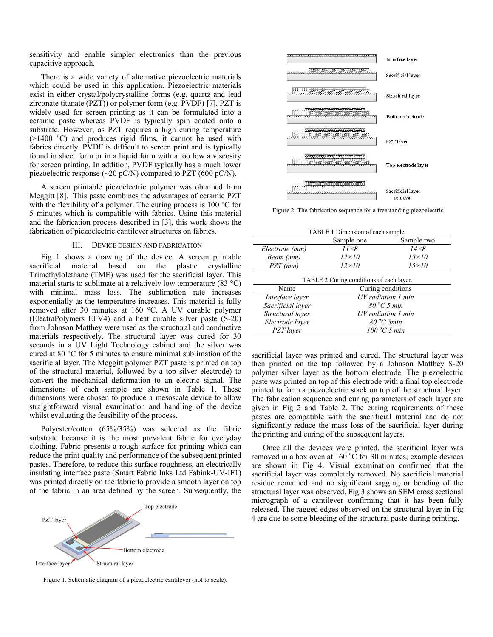sensitivity and enable simpler electronics than the previous capacitive approach.

There is a wide variety of alternative piezoelectric materials which could be used in this application. Piezoelectric materials exist in either crystal/polycrystalline forms (e.g. quartz and lead zirconate titanate (PZT)) or polymer form (e.g. PVDF) [\[7\]](#page-3-6). PZT is widely used for screen printing as it can be formulated into a ceramic paste whereas PVDF is typically spin coated onto a substrate. However, as PZT requires a high curing temperature  $(>1400$  °C) and produces rigid films, it cannot be used with fabrics directly. PVDF is difficult to screen print and is typically found in sheet form or in a liquid form with a too low a viscosity for screen printing. In addition, PVDF typically has a much lower piezoelectric response ( $\sim$ 20 pC/N) compared to PZT (600 pC/N).

A screen printable piezoelectric polymer was obtained from Meggitt [\[8\]](#page-3-7). This paste combines the advantages of ceramic PZT with the flexibility of a polymer. The curing process is 100 °C for 5 minutes which is compatible with fabrics. Using this material and the fabrication process described in [\[3\]](#page-3-2), this work shows the fabrication of piezoelectric cantilever structures on fabrics.

#### III. DEVICE DESIGN AND FABRICATION

Fig 1 shows a drawing of the device. A screen printable sacrificial material based on the plastic crystalline Trimethylolethane (TME) was used for the sacrificial layer. This material starts to sublimate at a relatively low temperature  $(83 \text{ °C})$ with minimal mass loss. The sublimation rate increases exponentially as the temperature increases. This material is fully removed after 30 minutes at 160 °C. A UV curable polymer (ElectraPolymers EFV4) and a heat curable silver paste (S-20) from Johnson Matthey were used as the structural and conductive materials respectively. The structural layer was cured for 30 seconds in a UV Light Technology cabinet and the silver was cured at 80 °C for 5 minutes to ensure minimal sublimation of the sacrificial layer. The Meggitt polymer PZT paste is printed on top of the structural material, followed by a top silver electrode) to convert the mechanical deformation to an electric signal. The dimensions of each sample are shown in Table 1. These dimensions were chosen to produce a mesoscale device to allow straightforward visual examination and handling of the device whilst evaluating the feasibility of the process.

Polyester/cotton (65%/35%) was selected as the fabric substrate because it is the most prevalent fabric for everyday clothing. Fabric presents a rough surface for printing which can reduce the print quality and performance of the subsequent printed pastes. Therefore, to reduce this surface roughness, an electrically insulating interface paste (Smart Fabric Inks Ltd Fabink-UV-IF1) was printed directly on the fabric to provide a smooth layer on top of the fabric in an area defined by the screen. Subsequently, the



Figure 1. Schematic diagram of a piezoelectric cantilever (not to scale).



Figure 2. The fabrication sequence for a freestanding piezoelectric

| TABLE 1 Dimension of each sample.        |                         |              |
|------------------------------------------|-------------------------|--------------|
|                                          | Sample one              | Sample two   |
| Electrode (mm)                           | $11\times8$             | $14\times8$  |
| Beam (mm)                                | $12\times10$            | $15\times10$ |
| $PZT$ (mm)                               | $12\times10$            | $15\times10$ |
| TABLE 2 Curing conditions of each layer. |                         |              |
| Name                                     | Curing conditions       |              |
| Interface layer                          | UV radiation 1 min      |              |
| Sacrificial layer                        | $80\,^{\circ}$ C 5 min  |              |
| Structural layer                         | $UV$ radiation $1$ min  |              |
| Electrode layer                          | $80\,^{\circ}$ C 5min   |              |
| PZT laver                                | $100\,^{\circ}$ C 5 min |              |

sacrificial layer was printed and cured. The structural layer was then printed on the top followed by a Johnson Matthey S-20 polymer silver layer as the bottom electrode. The piezoelectric paste was printed on top of this electrode with a final top electrode printed to form a piezoelectric stack on top of the structural layer. The fabrication sequence and curing parameters of each layer are given in Fig 2 and Table 2. The curing requirements of these pastes are compatible with the sacrificial material and do not significantly reduce the mass loss of the sacrificial layer during the printing and curing of the subsequent layers.

Once all the devices were printed, the sacrificial layer was removed in a box oven at  $160^{\circ}$ C for 30 minutes; example devices are shown in Fig 4. Visual examination confirmed that the sacrificial layer was completely removed. No sacrificial material residue remained and no significant sagging or bending of the structural layer was observed. Fig 3 shows an SEM cross sectional micrograph of a cantilever confirming that it has been fully released. The ragged edges observed on the structural layer in Fig 4 are due to some bleeding of the structural paste during printing.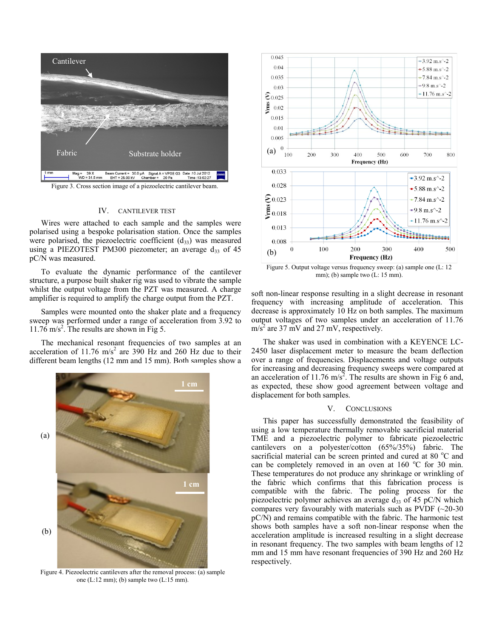

Figure 3. Cross section image of a piezoelectric cantilever beam.

#### IV. CANTILEVER TEST

Wires were attached to each sample and the samples were polarised using a bespoke polarisation station. Once the samples were polarised, the piezoelectric coefficient  $(d_{33})$  was measured using a PIEZOTEST PM300 piezometer; an average  $d_{33}$  of 45 pC/N was measured.

To evaluate the dynamic performance of the cantilever structure, a purpose built shaker rig was used to vibrate the sample whilst the output voltage from the PZT was measured. A charge amplifier is required to amplify the charge output from the PZT.

Samples were mounted onto the shaker plate and a frequency sweep was performed under a range of acceleration from 3.92 to  $11.76 \text{ m/s}^2$ . The results are shown in Fig 5.

The mechanical resonant frequencies of two samples at an acceleration of 11.76 m/s<sup>2</sup> are 390 Hz and 260 Hz due to their different beam lengths (12 mm and 15 mm). Both samples show a



Figure 4. Piezoelectric cantilevers after the removal process: (a) sample one (L:12 mm); (b) sample two (L:15 mm).



Figure 5. Output voltage versus frequency sweep: (a) sample one (L: 12 mm); (b) sample two (L: 15 mm).

soft non-linear response resulting in a slight decrease in resonant frequency with increasing amplitude of acceleration. This decrease is approximately 10 Hz on both samples. The maximum output voltages of two samples under an acceleration of 11.76  $m/s<sup>2</sup>$  are 37 mV and 27 mV, respectively.

The shaker was used in combination with a KEYENCE LC-2450 laser displacement meter to measure the beam deflection over a range of frequencies. Displacements and voltage outputs for increasing and decreasing frequency sweeps were compared at an acceleration of 11.76 m/s<sup>2</sup>. The results are shown in Fig 6 and, as expected, these show good agreement between voltage and displacement for both samples.

#### V. CONCLUSIONS

This paper has successfully demonstrated the feasibility of using a low temperature thermally removable sacrificial material TME and a piezoelectric polymer to fabricate piezoelectric cantilevers on a polyester/cotton (65%/35%) fabric. The sacrificial material can be screen printed and cured at 80  $^{\circ}$ C and can be completely removed in an oven at  $160^{\circ}$ C for 30 min. These temperatures do not produce any shrinkage or wrinkling of the fabric which confirms that this fabrication process is compatible with the fabric. The poling process for the piezoelectric polymer achieves an average  $d_{33}$  of 45 pC/N which compares very favourably with materials such as PVDF  $(\sim 20-30)$ pC/N) and remains compatible with the fabric. The harmonic test shows both samples have a soft non-linear response when the acceleration amplitude is increased resulting in a slight decrease in resonant frequency. The two samples with beam lengths of 12 mm and 15 mm have resonant frequencies of 390 Hz and 260 Hz respectively.